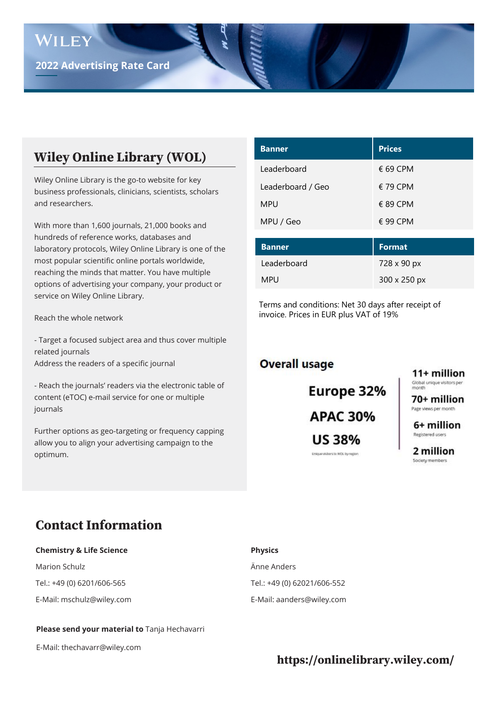# **Wiley Online Library (WOL)**

Wiley Online Library is the go-to website for key business professionals, clinicians, scientists, scholars and researchers.

With more than 1,600 journals, 21,000 books and hundreds of reference works, databases and laboratory protocols, Wiley Online Library is one of the most popular scientific online portals worldwide, reaching the minds that matter. You have multiple options of advertising your company, your product or service on Wiley Online Library.

Reach the whole network

- Target a focused subject area and thus cover multiple related journals Address the readers of a specific journal

- Reach the journals' readers via the electronic table of content (eTOC) e-mail service for one or multiple journals

Further options as geo-targeting or frequency capping allow you to align your advertising campaign to the optimum.

| <b>Prices</b>     |
|-------------------|
| $\epsilon$ 69 CPM |
| $\epsilon$ 79 CPM |
| $\epsilon$ 89 CPM |
| $\epsilon$ 99 CPM |
|                   |
|                   |

| <b>Banner</b> | Format              |
|---------------|---------------------|
| Leaderboard   | 728 x 90 px         |
| <b>MPU</b>    | $300 \times 250$ px |

Terms and conditions: Net 30 days after receipt of invoice. Prices in EUR plus VAT of 19%

#### **Overall usage**

Europe 32% **APAC 30% US 38%** Unique visitors to WOL by region

11+ million Global unique visitors per<br>month

70+ million Page views per month

6+ million Registered users

2 million Society members

# **Contact Information**

#### **Chemistry & Life Science Physics**

Marion Schulz Änne Anders Tel.: +49 (0) 6201/606-565 Tel.: +49 (0) 62021/606-552

E-Mail: mschulz@wiley.com E-Mail: aanders@wiley.com

#### **Please send your material to** Tanja Hechavarri

E-Mail: thechavarr@wiley.com

### **https://onlinelibrary.wiley.com/**